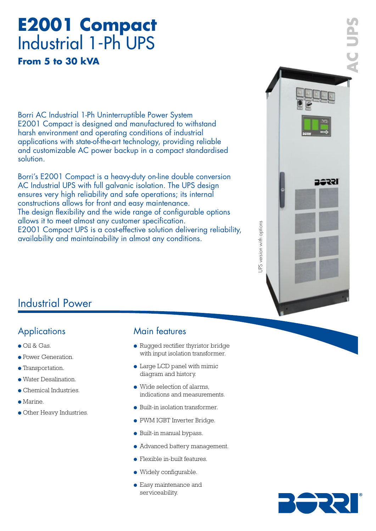# **E2001 Compact** Industrial 1-Ph UPS

**From 5 to 30 kVA**

Borri AC Industrial 1-Ph Uninterruptible Power System E2001 Compact is designed and manufactured to withstand harsh environment and operating conditions of industrial applications with state-of-the-art technology, providing reliable and customizable AC power backup in a compact standardised solution.

Borri's E2001 Compact is a heavy-duty on-line double conversion AC Industrial UPS with full galvanic isolation. The UPS design ensures very high reliability and safe operations; its internal constructions allows for front and easy maintenance. The design flexibility and the wide range of configurable options allows it to meet almost any customer specification. E2001 Compact UPS is a cost-effective solution delivering reliability, availability and maintainability in almost any conditions.



## Industrial Power

## **Applications**

- Oil & Gas.
- Power Generation.
- Transportation.
- Water Desalination.
- Chemical Industries.
- Marine.
- Other Heavy Industries.

## Main features

- Rugged rectifier thyristor bridge with input isolation transformer.
- Large LCD panel with mimic diagram and history.
- Wide selection of alarms, indications and measurements.
- Built-in isolation transformer.
- PWM IGBT Inverter Bridge.
- Built-in manual bypass.
- Advanced battery management.
- Flexible in-built features.
- Widely configurable.
- Easy maintenance and serviceability.

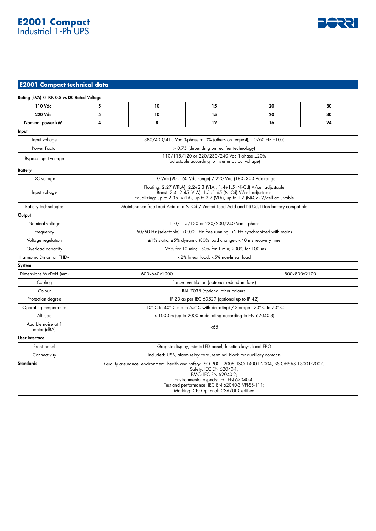## **E2001 Compact** Industrial 1-Ph UPS



#### **E2001 Compact technical data**

| Rating (kVA) @ P.F. 0.8 vs DC Rated Voltage |                                                                                                                                                                                                                                                                                                    |    |    |    |    |
|---------------------------------------------|----------------------------------------------------------------------------------------------------------------------------------------------------------------------------------------------------------------------------------------------------------------------------------------------------|----|----|----|----|
| 110 Vdc                                     | 5                                                                                                                                                                                                                                                                                                  | 10 | 15 | 20 | 30 |
| 220 Vdc                                     | 5                                                                                                                                                                                                                                                                                                  | 10 | 15 | 20 | 30 |
| Nominal power kW                            | 4                                                                                                                                                                                                                                                                                                  | 8  | 12 | 16 | 24 |
| Input                                       |                                                                                                                                                                                                                                                                                                    |    |    |    |    |
| Input voltage                               | 380/400/415 Vac 3-phase ±10% (others on request), 50/60 Hz ±10%                                                                                                                                                                                                                                    |    |    |    |    |
| Power Factor                                | > 0,75 (depending on rectifier technology)                                                                                                                                                                                                                                                         |    |    |    |    |
| Bypass input voltage                        | 110/115/120 or 220/230/240 Vac 1-phase ±20%<br>(adjustable according to inverter output voltage)                                                                                                                                                                                                   |    |    |    |    |
| <b>Battery</b>                              |                                                                                                                                                                                                                                                                                                    |    |    |    |    |
| DC voltage                                  | 110 Vdc (90÷160 Vdc range) / 220 Vdc (180÷300 Vdc range)                                                                                                                                                                                                                                           |    |    |    |    |
| Input voltage                               | Floating: 2.27 (VRLA), 2.2÷2.3 (VLA), 1.4÷1.5 (Ni-Cd) V/cell adjustable<br>Boost: 2.4÷2.45 (VLA), 1.5÷1.65 (Ni-Cd) V/cell adjustable<br>Equalizing: up to 2.35 (VRLA), up to 2.7 (VLA), up to 1.7 (Ni-Cd) V/cell adjustable                                                                        |    |    |    |    |
| Battery technologies                        | Maintenance free Lead Acid and Ni-Cd / Vented Lead Acid and Ni-Cd, Li-Ion battery compatible                                                                                                                                                                                                       |    |    |    |    |
| Output                                      |                                                                                                                                                                                                                                                                                                    |    |    |    |    |
| Nominal voltage                             | 110/115/120 or 220/230/240 Vac 1-phase                                                                                                                                                                                                                                                             |    |    |    |    |
| Frequency                                   | 50/60 Hz (selectable), ±0.001 Hz free running, ±2 Hz synchronized with mains                                                                                                                                                                                                                       |    |    |    |    |
| Voltage regulation                          | ±1% static; ±5% dynamic (80% load change), <40 ms recovery time                                                                                                                                                                                                                                    |    |    |    |    |
| Overload capacity                           | 125% for 10 min; 150% for 1 min; 200% for 100 ms                                                                                                                                                                                                                                                   |    |    |    |    |
| Harmonic Distortion THDv                    | <2% linear load; <5% non-linear load                                                                                                                                                                                                                                                               |    |    |    |    |
| System                                      |                                                                                                                                                                                                                                                                                                    |    |    |    |    |
| Dimensions WxDxH (mm)                       | 600x640x1900<br>800x800x2100                                                                                                                                                                                                                                                                       |    |    |    |    |
| Cooling                                     | Forced ventilation (optional redundant fans)                                                                                                                                                                                                                                                       |    |    |    |    |
| Colour                                      | RAL 7035 (optional other colours)                                                                                                                                                                                                                                                                  |    |    |    |    |
| Protection degree                           | IP 20 as per IEC 60529 (optional up to IP 42)                                                                                                                                                                                                                                                      |    |    |    |    |
| Operating temperature                       | -10° C to 40° C (up to 55° C with de-rating) / Storage: -20° C to 70° C                                                                                                                                                                                                                            |    |    |    |    |
| Altitude                                    | < 1000 m (up to 2000 m de-rating according to EN 62040-3)                                                                                                                                                                                                                                          |    |    |    |    |
| Audible noise at 1<br>meter (dBA)           | <65                                                                                                                                                                                                                                                                                                |    |    |    |    |
| User Interface                              |                                                                                                                                                                                                                                                                                                    |    |    |    |    |
| Front panel                                 | Graphic display, mimic LED panel, function keys, local EPO                                                                                                                                                                                                                                         |    |    |    |    |
| Connectivity                                | Included: USB, alarm relay card, terminal block for auxiliary contacts                                                                                                                                                                                                                             |    |    |    |    |
| <b>Standards</b>                            | Quality assurance, environment, health and safety: ISO 9001:2008, ISO 14001:2004, BS OHSAS 18001:2007;<br>Safety: IEC EN 62040-1;<br>EMC: IEC EN 62040-2;<br>Environmental aspects: IEC EN 62040-4;<br>Test and performance: IEC EN 62040-3 VFI-SS-111;<br>Marking: CE; Optional: CSA/UL Certified |    |    |    |    |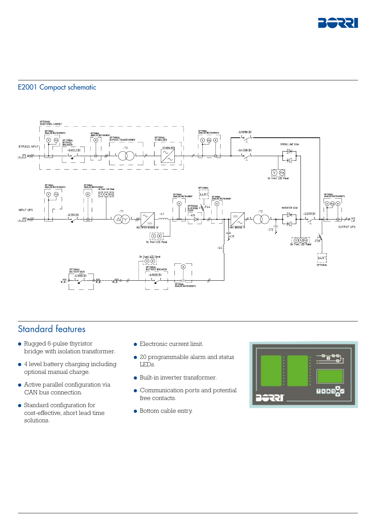

#### E2001 Compact schematic



## Standard features

- Rugged 6-pulse thyristor bridge with isolation transformer.
- 4 level battery charging including optional manual charge.
- Active parallel configuration via CAN bus connection.
- Standard configuration for cost-effective, short lead time solutions.
- Electronic current limit.
- 20 programmable alarm and status LEDs.
- Built-in inverter transformer.
- Communication ports and potential free contacts.
- Bottom cable entry.

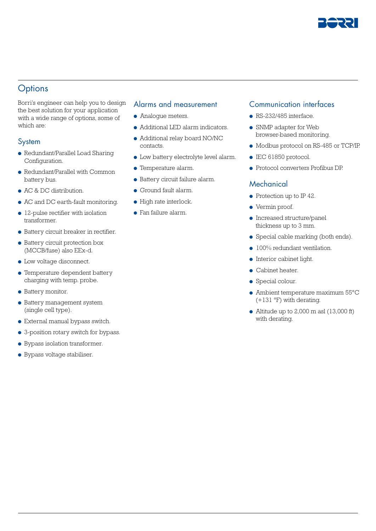

## **Options**

Borri's engineer can help you to design the best solution for your application with a wide range of options, some of which are:

#### System

- Redundant/Parallel Load Sharing Configuration.
- Redundant/Parallel with Common battery bus.
- AC & DC distribution.
- AC and DC earth-fault monitoring.
- 12-pulse rectifier with isolation transformer.
- Battery circuit breaker in rectifier.
- Battery circuit protection box (MCCB/fuse) also EEx-d.
- Low voltage disconnect.
- Temperature dependent battery charging with temp. probe.
- Battery monitor.
- Battery management system (single cell type).
- External manual bypass switch.
- 3-position rotary switch for bypass.
- Bypass isolation transformer.
- Bypass voltage stabiliser.

#### Alarms and measurement

- Analogue meters.
- Additional LED alarm indicators.
- Additional relay board NO/NC contacts.
- Low battery electrolyte level alarm.
- Temperature alarm.
- Battery circuit failure alarm.
- Ground fault alarm.
- High rate interlock.
- Fan failure alarm.

#### Communication interfaces

- $\bullet$  RS-232/485 interface.
- SNMP adapter for Web browser-based monitoring.
- Modbus protocol on RS-485 or TCP/IP.
- IEC 61850 protocol.
- Protocol converters Profibus DP.

#### **Mechanical**

- Protection up to IP 42.
- Vermin proof.
- Increased structure/panel thickness up to 3 mm.
- Special cable marking (both ends).
- 100% redundant ventilation.
- Interior cabinet light.
- Cabinet heater.
- Special colour.
- Ambient temperature maximum 55°C (+131 °F) with derating.
- Altitude up to  $2,000$  m asl  $(13,000$  ft) with derating.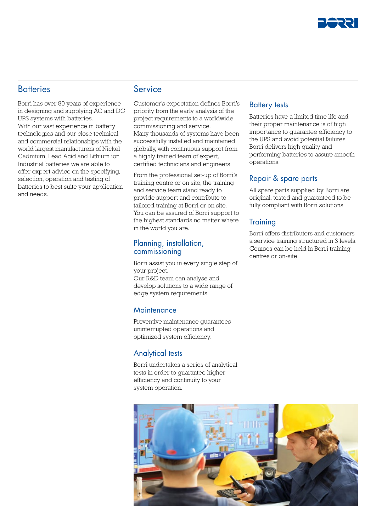

#### **Batteries**

Borri has over 80 years of experience in designing and supplying AC and DC UPS systems with batteries. With our vast experience in battery technologies and our close technical and commercial relationships with the world largest manufacturers of Nickel Cadmium, Lead Acid and Lithium ion Industrial batteries we are able to offer expert advice on the specifying, selection, operation and testing of batteries to best suite your application and needs.

#### Service

Customer's expectation defines Borri's priority from the early analysis of the project requirements to a worldwide commissioning and service. Many thousands of systems have been successfully installed and maintained globally, with continuous support from a highly trained team of expert, certified technicians and engineers.

From the professional set-up of Borri's training centre or on site, the training and service team stand ready to provide support and contribute to tailored training at Borri or on site. You can be assured of Borri support to the highest standards no matter where in the world you are.

#### Planning, installation, commissioning

Borri assist you in every single step of your project. Our R&D team can analyse and develop solutions to a wide range of edge system requirements.

#### **Maintenance**

Preventive maintenance guarantees uninterrupted operations and optimized system efficiency.

#### Analytical tests

Borri undertakes a series of analytical tests in order to guarantee higher efficiency and continuity to your system operation.

#### Battery tests

Batteries have a limited time life and their proper maintenance is of high importance to guarantee efficiency to the UPS and avoid potential failures. Borri delivers high quality and performing batteries to assure smooth operations.

#### Repair & spare parts

All spare parts supplied by Borri are original, tested and guaranteed to be fully compliant with Borri solutions.

#### **Training**

Borri offers distributors and customers a service training structured in 3 levels. Courses can be held in Borri training centres or on-site.